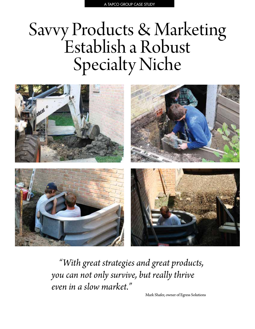# Savvy Products & Marketing<br>Establish a Robust Specialty Niche



*"With great strategies and great products, you can not only survive, but really thrive even in a slow market."* 

Mark Shafer, owner of Egress Solutions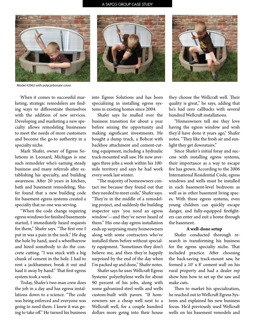## A TAPCO GROUP CASE STUDY







Model #2062 with polycarbonate cover.

When it comes to successful marketing, strategic remodelers are finding ways to differentiate themselves with the addition of new services. Developing and marketing a new specialty allows remodeling businesses to meet the needs of more customers and become the go-to authority in a specialty niche.

Mark Shafer, owner of Egress Solutions in Leonard, Michigan is one such remodeler who's earning steady business and many referrals after establishing his specialty, and building awareness. After 20 years in kitchen, bath and basement remodeling, Shafer found that a new building code for basement egress systems created a specialty that no one was serving.

"When the code change requiring egress windows for finished basements started, I immediately heard requests for them," Shafer says. "The first one I put in was a pain in the neck." He dug the hole by hand, used a wheelbarrow and hired somebody to do the concrete cutting. "I was stuck with a big chunk of cement in the hole. I had to rent a jackhammer, break it out and haul it away by hand." That first egress system took a week.

Today, Shafer's two-man crew does the job in a day and has egress installations down to a science. "The code was being enforced and everyone was going to need them. I knew it was going to take off." He turned his business

into Egress Solutions and has been specializing in installing egress systems in existing homes since 2004.

Shafer says he mulled over the business transition for about a year before seizing the opportunity and making significant investments. He bought a dump truck, a Bobcat with backhoe attachment and cement-cutting equipment, including a hydraulic track-mounted wall saw. He now averages three jobs a week within his 100 mile territory and says he had work every week last winter.

"The majority of homeowners contact me because they found out that they needed to meet code," Shafer says. "They're in the middle of a remodeling project, and suddenly the building inspector says 'you need an egress window'—and they've never heard of them." His one-day egress installation ends up surprising many homeowners along with some contractors who've installed them before without specialty equipment. "Sometimes they don't believe me, and then they're happily surprised by the end of the day when I'm packed up and done," Shafer notes.

Shafer says he uses Wellcraft Egress Systems' polyethylene wells for about 90 percent of his jobs, along with some galvanized steel wells and wells custom-built with pavers. "If homeowners see a cheap well next to a Wellcraft well, for a couple hundred dollars more going into their house

they choose the Wellcraft well. Their quality is great," he says, adding that he's had zero callbacks with several hundred Wellcraft installations.

"Homeowners tell me they love having the egress window and wish they'd have done it years ago," Shafer notes. "They like the fresh air and sunlight they get downstairs."

Since Shafer's initial foray and success with installing egress systems, their importance as a way to escape fire has grown. According to the 2006 International Residential Code, egress windows and wells must be installed in each basement-level bedroom as well as in other basement living spaces. With these egress systems, even young children can quickly escape danger, and fully-equipped firefighters can enter and exit a home through the basement.

## **A well-done setup**

Shafer conducted thorough research in transforming his business for the egress specialty niche. That included practice. After choosing the back-saving track-mount saw, he formed a 10' x 8' cement wall on his rural property and had a dealer rep show him how to set up the saw and make cuts.

Then to market his specialization, he reached out to Wellcraft Egress Systems and explained his new business focus. He'd previously used Wellcraft wells on his basement remodels and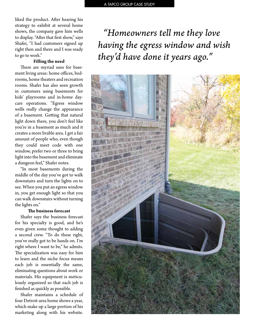liked the product. After hearing his strategy to exhibit at several home shows, the company gave him wells to display. "After that first show," says Shafer, "I had customers signed up right then and there and I was ready to go to work."

# **Filling the need**

There are myriad uses for basement living areas: home offices, bedrooms, home theaters and recreation rooms. Shafer has also seen growth in customers using basements for kids' playrooms and in-home daycare operations. "Egress window wells really change the appearance of a basement. Getting that natural light down there, you don't feel like you're in a basement as much and it creates a more livable area. I get a fair amount of people who, even though they could meet code with one window, prefer two or three to bring light into the basement and eliminate a dungeon feel," Shafer notes.

"In most basements during the middle of the day you've got to walk downstairs and turn the lights on to see. When you put an egress window in, you get enough light so that you can walk downstairs without turning the lights on."

## **The business forecast**

Shafer says the business forecast for his specialty is good, and he's even given some thought to adding a second crew. "To do these right, you've really got to be hands on. I'm right where I want to be," he admits. The specialization was easy for him to learn and the niche focus means each job is essentially the same, eliminating questions about work or materials. His equipment is meticulously organized so that each job is finished as quickly as possible.

Shafer maintains a schedule of four Detroit-area home shows a year, which make up a large portion of his marketing along with his website.

*"Homeowners tell me they love having the egress window and wish they'd have done it years ago."*